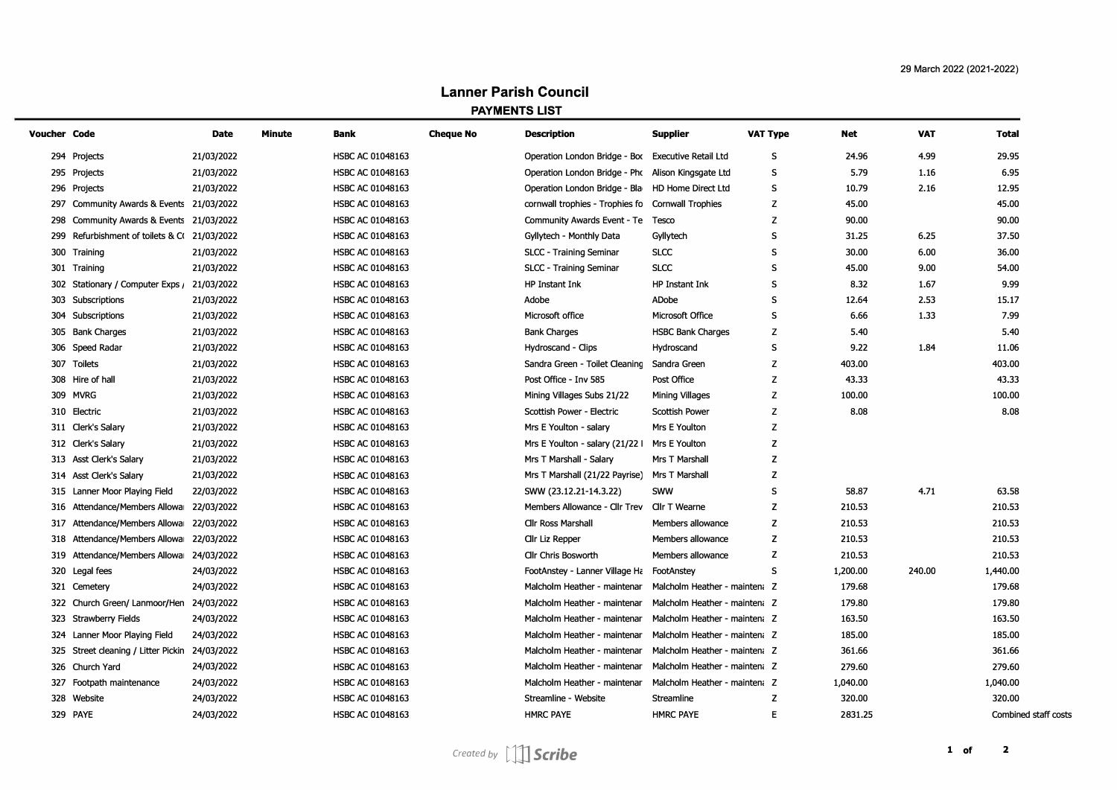## **Lanner Parish Council PAYMENTS LIST**

| Voucher Code |                                             | Date       | <b>Minute</b> | Bank                    | <b>Cheque No</b> | <b>Description</b>                                 | <b>Supplier</b>               | <b>VAT Type</b> | Net      | <b>VAT</b> | <b>Total</b>         |
|--------------|---------------------------------------------|------------|---------------|-------------------------|------------------|----------------------------------------------------|-------------------------------|-----------------|----------|------------|----------------------|
|              | 294 Projects                                | 21/03/2022 |               | HSBC AC 01048163        |                  | Operation London Bridge - Box Executive Retail Ltd |                               | S               | 24.96    | 4.99       | 29.95                |
|              | 295 Projects                                | 21/03/2022 |               | HSBC AC 01048163        |                  | Operation London Bridge - Pho Alison Kingsgate Ltd |                               | S               | 5.79     | 1.16       | 6.95                 |
|              | 296 Projects                                | 21/03/2022 |               | <b>HSBC AC 01048163</b> |                  | Operation London Bridge - Bla                      | HD Home Direct Ltd            | S               | 10.79    | 2.16       | 12.95                |
|              | 297 Community Awards & Events 21/03/2022    |            |               | HSBC AC 01048163        |                  | cornwall trophies - Trophies fo                    | <b>Cornwall Trophies</b>      | z               | 45.00    |            | 45.00                |
|              | 298 Community Awards & Events 21/03/2022    |            |               | HSBC AC 01048163        |                  | Community Awards Event - Te                        | Tesco                         | Z               | 90.00    |            | 90.00                |
|              | 299 Refurbishment of toilets & C(21/03/2022 |            |               | HSBC AC 01048163        |                  | Gyllytech - Monthly Data                           | Gyllytech                     | s               | 31.25    | 6.25       | 37.50                |
|              | 300 Training                                | 21/03/2022 |               | HSBC AC 01048163        |                  | SLCC - Training Seminar                            | <b>SLCC</b>                   | S               | 30.00    | 6.00       | 36.00                |
|              | 301 Training                                | 21/03/2022 |               | HSBC AC 01048163        |                  | SLCC - Training Seminar                            | <b>SLCC</b>                   | S               | 45.00    | 9.00       | 54.00                |
|              | 302 Stationary / Computer Exps /            | 21/03/2022 |               | HSBC AC 01048163        |                  | HP Instant Ink                                     | HP Instant Ink                | S               | 8.32     | 1.67       | 9.99                 |
|              | 303 Subscriptions                           | 21/03/2022 |               | <b>HSBC AC 01048163</b> |                  | Adobe                                              | ADobe                         | S               | 12.64    | 2.53       | 15.17                |
|              | 304 Subscriptions                           | 21/03/2022 |               | HSBC AC 01048163        |                  | Microsoft office                                   | Microsoft Office              | S               | 6.66     | 1.33       | 7.99                 |
|              | 305 Bank Charges                            | 21/03/2022 |               | HSBC AC 01048163        |                  | <b>Bank Charges</b>                                | <b>HSBC Bank Charges</b>      | z               | 5.40     |            | 5.40                 |
|              | 306 Speed Radar                             | 21/03/2022 |               | HSBC AC 01048163        |                  | Hydroscand - Clips                                 | Hydroscand                    | s               | 9.22     | 1.84       | 11.06                |
|              | 307 Toilets                                 | 21/03/2022 |               | <b>HSBC AC 01048163</b> |                  | Sandra Green - Toilet Cleaning                     | Sandra Green                  | z               | 403.00   |            | 403.00               |
|              | 308 Hire of hall                            | 21/03/2022 |               | HSBC AC 01048163        |                  | Post Office - Inv 585                              | Post Office                   | z               | 43.33    |            | 43.33                |
|              | 309 MVRG                                    | 21/03/2022 |               | HSBC AC 01048163        |                  | Mining Villages Subs 21/22                         | Mining Villages               | Z               | 100.00   |            | 100.00               |
|              | 310 Electric                                | 21/03/2022 |               | <b>HSBC AC 01048163</b> |                  | Scottish Power - Electric                          | <b>Scottish Power</b>         | z               | 8.08     |            | 8.08                 |
|              | 311 Clerk's Salary                          | 21/03/2022 |               | HSBC AC 01048163        |                  | Mrs E Youlton - salary                             | Mrs E Youlton                 | z               |          |            |                      |
|              | 312 Clerk's Salary                          | 21/03/2022 |               | HSBC AC 01048163        |                  | Mrs E Youlton - salary (21/22 I                    | Mrs E Youlton                 | Z               |          |            |                      |
|              | 313 Asst Clerk's Salary                     | 21/03/2022 |               | <b>HSBC AC 01048163</b> |                  | Mrs T Marshall - Salary                            | Mrs T Marshall                | z               |          |            |                      |
|              | 314 Asst Clerk's Salary                     | 21/03/2022 |               | <b>HSBC AC 01048163</b> |                  | Mrs T Marshall (21/22 Payrise)                     | Mrs T Marshall                | z               |          |            |                      |
|              | 315 Lanner Moor Playing Field               | 22/03/2022 |               | HSBC AC 01048163        |                  | SWW (23.12.21-14.3.22)                             | <b>SWW</b>                    | s               | 58.87    | 4.71       | 63.58                |
|              | 316 Attendance/Members Allowar              | 22/03/2022 |               | HSBC AC 01048163        |                  | Members Allowance - Cllr Trev                      | Cllr T Wearne                 | z               | 210.53   |            | 210.53               |
|              | 317 Attendance/Members Allowa 22/03/2022    |            |               | <b>HSBC AC 01048163</b> |                  | <b>Cllr Ross Marshall</b>                          | Members allowance             | z               | 210.53   |            | 210.53               |
|              | 318 Attendance/Members Allowa 22/03/2022    |            |               | HSBC AC 01048163        |                  | Cllr Liz Repper                                    | Members allowance             | z               | 210.53   |            | 210.53               |
|              | 319 Attendance/Members Allowa               | 24/03/2022 |               | HSBC AC 01048163        |                  | Cllr Chris Bosworth                                | Members allowance             | z               | 210.53   |            | 210.53               |
|              | 320 Legal fees                              | 24/03/2022 |               | HSBC AC 01048163        |                  | FootAnstey - Lanner Village Ha                     | FootAnstey                    | s               | 1,200.00 | 240.00     | 1,440.00             |
|              | 321 Cemetery                                | 24/03/2022 |               | HSBC AC 01048163        |                  | Malcholm Heather - maintenar                       | Malcholm Heather - mainten: Z |                 | 179.68   |            | 179.68               |
|              | 322 Church Green/ Lanmoor/Hen               | 24/03/2022 |               | HSBC AC 01048163        |                  | Malcholm Heather - maintenar                       | Malcholm Heather - mainten: Z |                 | 179.80   |            | 179.80               |
|              | 323 Strawberry Fields                       | 24/03/2022 |               | HSBC AC 01048163        |                  | Malcholm Heather - maintenar                       | Malcholm Heather - mainten: Z |                 | 163.50   |            | 163.50               |
|              | 324 Lanner Moor Playing Field               | 24/03/2022 |               | HSBC AC 01048163        |                  | Malcholm Heather - maintenar                       | Malcholm Heather - mainten: Z |                 | 185.00   |            | 185.00               |
|              | 325 Street cleaning / Litter Pickin         | 24/03/2022 |               | HSBC AC 01048163        |                  | Malcholm Heather - maintenar                       | Malcholm Heather - mainten: Z |                 | 361.66   |            | 361.66               |
|              | 326 Church Yard                             | 24/03/2022 |               | HSBC AC 01048163        |                  | Malcholm Heather - maintenar                       | Malcholm Heather - mainten: Z |                 | 279.60   |            | 279.60               |
|              | 327 Footpath maintenance                    | 24/03/2022 |               | HSBC AC 01048163        |                  | Malcholm Heather - maintenar                       | Malcholm Heather - mainten: Z |                 | 1,040.00 |            | 1,040.00             |
|              | 328 Website                                 | 24/03/2022 |               | HSBC AC 01048163        |                  | Streamline - Website                               | <b>Streamline</b>             | z               | 320.00   |            | 320.00               |
|              | 329 PAYE                                    | 24/03/2022 |               | HSBC AC 01048163        |                  | <b>HMRC PAYE</b>                                   | <b>HMRC PAYE</b>              | F               | 2831.25  |            | Combined staff costs |